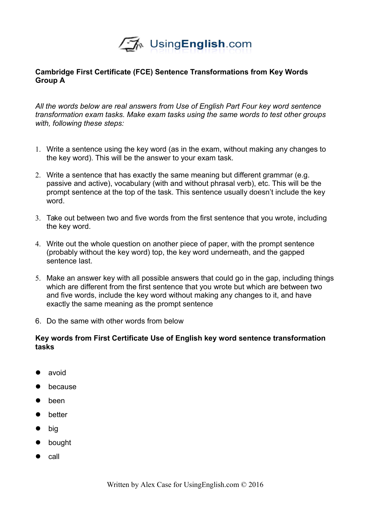

## **Cambridge First Certificate (FCE) Sentence Transformations from Key Words Group A**

*All the words below are real answers from Use of English Part Four key word sentence transformation exam tasks. Make exam tasks using the same words to test other groups with, following these steps:*

- 1. Write a sentence using the key word (as in the exam, without making any changes to the key word). This will be the answer to your exam task.
- 2. Write a sentence that has exactly the same meaning but different grammar (e.g. passive and active), vocabulary (with and without phrasal verb), etc. This will be the prompt sentence at the top of the task. This sentence usually doesn't include the key word.
- 3. Take out between two and five words from the first sentence that you wrote, including the key word.
- 4. Write out the whole question on another piece of paper, with the prompt sentence (probably without the key word) top, the key word underneath, and the gapped sentence last.
- 5. Make an answer key with all possible answers that could go in the gap, including things which are different from the first sentence that you wrote but which are between two and five words, include the key word without making any changes to it, and have exactly the same meaning as the prompt sentence
- 6. Do the same with other words from below

## **Key words from First Certificate Use of English key word sentence transformation tasks**

- avoid
- because
- been
- better
- big
- bought
- $\bullet$  call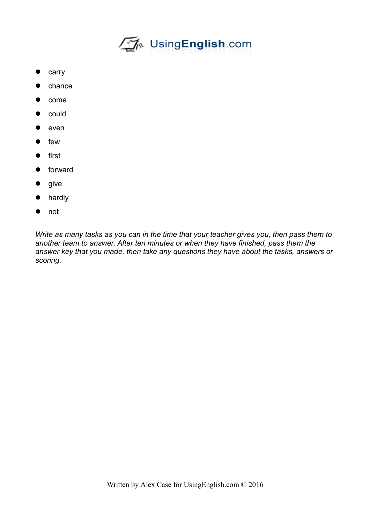

- carry
- chance
- come
- could
- even
- few
- **•** first
- **•** forward
- give
- hardly
- not

*Write as many tasks as you can in the time that your teacher gives you, then pass them to another team to answer. After ten minutes or when they have finished, pass them the answer key that you made, then take any questions they have about the tasks, answers or scoring.*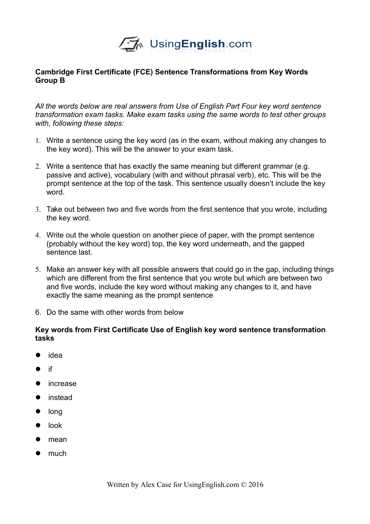

## **Cambridge First Certificate (FCE) Sentence Transformations from Key Words Group B**

*All the words below are real answers from Use of English Part Four key word sentence transformation exam tasks. Make exam tasks using the same words to test other groups with, following these steps:*

- 1. Write a sentence using the key word (as in the exam, without making any changes to the key word). This will be the answer to your exam task.
- 2. Write a sentence that has exactly the same meaning but different grammar (e.g. passive and active), vocabulary (with and without phrasal verb), etc. This will be the prompt sentence at the top of the task. This sentence usually doesn't include the key word.
- 3. Take out between two and five words from the first sentence that you wrote, including the key word.
- 4. Write out the whole question on another piece of paper, with the prompt sentence (probably without the key word) top, the key word underneath, and the gapped sentence last.
- 5. Make an answer key with all possible answers that could go in the gap, including things which are different from the first sentence that you wrote but which are between two and five words, include the key word without making any changes to it, and have exactly the same meaning as the prompt sentence
- 6. Do the same with other words from below

## **Key words from First Certificate Use of English key word sentence transformation tasks**

- idea
- $\bullet$  if
- **•** increase
- **•** instead
- long
- $\bullet$  look
- $\bullet$  mean
- $\bullet$  much